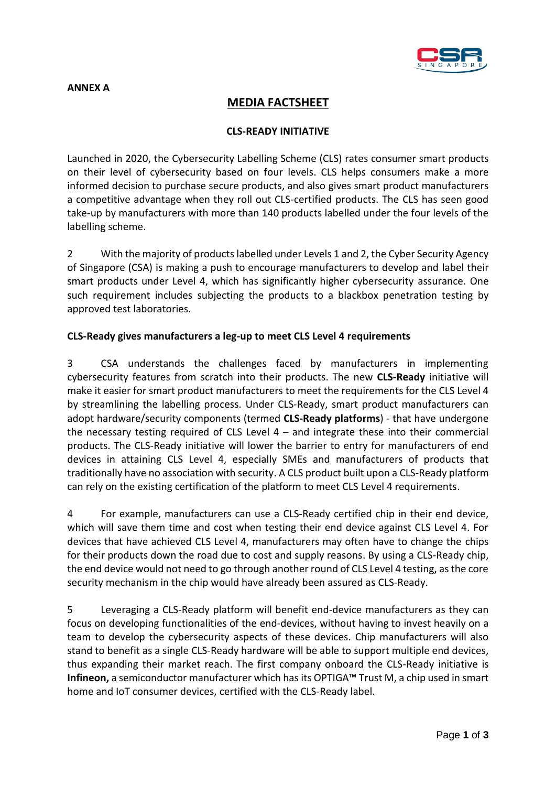

## **ANNEX A**

# **MEDIA FACTSHEET**

## **CLS-READY INITIATIVE**

Launched in 2020, the Cybersecurity Labelling Scheme (CLS) rates consumer smart products on their level of cybersecurity based on four levels. CLS helps consumers make a more informed decision to purchase secure products, and also gives smart product manufacturers a competitive advantage when they roll out CLS-certified products. The CLS has seen good take-up by manufacturers with more than 140 products labelled under the four levels of the labelling scheme.

2 With the majority of products labelled under Levels 1 and 2, the Cyber Security Agency of Singapore (CSA) is making a push to encourage manufacturers to develop and label their smart products under Level 4, which has significantly higher cybersecurity assurance. One such requirement includes subjecting the products to a blackbox penetration testing by approved test laboratories.

## **CLS-Ready gives manufacturers a leg-up to meet CLS Level 4 requirements**

3 CSA understands the challenges faced by manufacturers in implementing cybersecurity features from scratch into their products. The new **CLS-Ready** initiative will make it easier for smart product manufacturers to meet the requirements for the CLS Level 4 by streamlining the labelling process. Under CLS-Ready, smart product manufacturers can adopt hardware/security components (termed **CLS-Ready platforms**) - that have undergone the necessary testing required of CLS Level  $4 -$  and integrate these into their commercial products. The CLS-Ready initiative will lower the barrier to entry for manufacturers of end devices in attaining CLS Level 4, especially SMEs and manufacturers of products that traditionally have no association with security. A CLS product built upon a CLS-Ready platform can rely on the existing certification of the platform to meet CLS Level 4 requirements.

4 For example, manufacturers can use a CLS-Ready certified chip in their end device, which will save them time and cost when testing their end device against CLS Level 4. For devices that have achieved CLS Level 4, manufacturers may often have to change the chips for their products down the road due to cost and supply reasons. By using a CLS-Ready chip, the end device would not need to go through another round of CLS Level 4 testing, as the core security mechanism in the chip would have already been assured as CLS-Ready.

5 Leveraging a CLS-Ready platform will benefit end-device manufacturers as they can focus on developing functionalities of the end-devices, without having to invest heavily on a team to develop the cybersecurity aspects of these devices. Chip manufacturers will also stand to benefit as a single CLS-Ready hardware will be able to support multiple end devices, thus expanding their market reach. The first company onboard the CLS-Ready initiative is **Infineon,** a semiconductor manufacturer which has its OPTIGA™ Trust M, a chip used in smart home and IoT consumer devices, certified with the CLS-Ready label.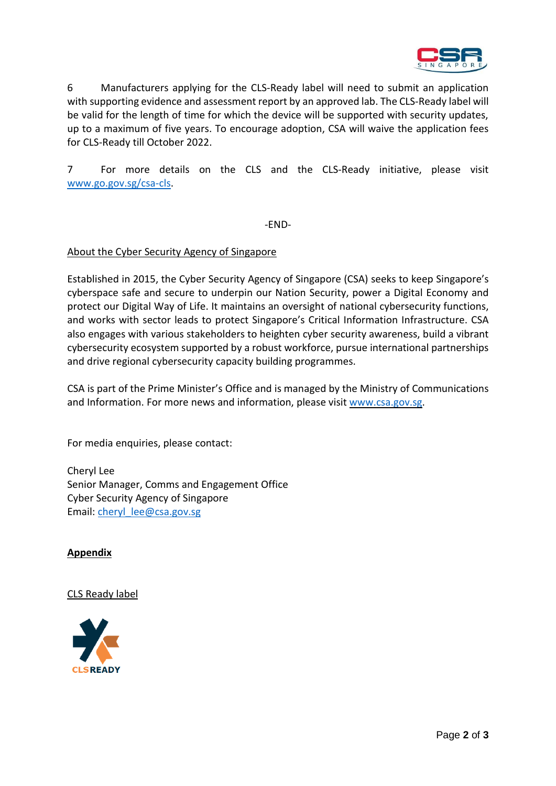

6 Manufacturers applying for the CLS-Ready label will need to submit an application with supporting evidence and assessment report by an approved lab. The CLS-Ready label will be valid for the length of time for which the device will be supported with security updates, up to a maximum of five years. To encourage adoption, CSA will waive the application fees for CLS-Ready till October 2022.

7 For more details on the CLS and the CLS-Ready initiative, please visit [www.go.gov.sg/csa-cls.](http://www.go.gov.sg/csa-cls)

-END-

#### About the Cyber Security Agency of Singapore

Established in 2015, the Cyber Security Agency of Singapore (CSA) seeks to keep Singapore's cyberspace safe and secure to underpin our Nation Security, power a Digital Economy and protect our Digital Way of Life. It maintains an oversight of national cybersecurity functions, and works with sector leads to protect Singapore's Critical Information Infrastructure. CSA also engages with various stakeholders to heighten cyber security awareness, build a vibrant cybersecurity ecosystem supported by a robust workforce, pursue international partnerships and drive regional cybersecurity capacity building programmes.

CSA is part of the Prime Minister's Office and is managed by the Ministry of Communications and Information. For more news and information, please visit [www.csa.gov.sg.](http://www.csa.gov.sg/)

For media enquiries, please contact:

Cheryl Lee Senior Manager, Comms and Engagement Office Cyber Security Agency of Singapore Email: [cheryl\\_lee@csa.gov.sg](mailto:cheryl_lee@csa.gov.sg)

#### **Appendix**

#### CLS Ready label